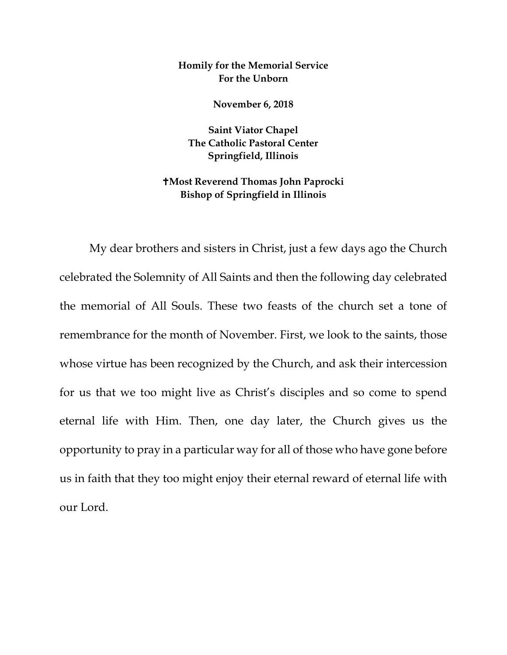## **Homily for the Memorial Service For the Unborn**

**November 6, 2018**

**Saint Viator Chapel The Catholic Pastoral Center Springfield, Illinois**

## **Most Reverend Thomas John Paprocki Bishop of Springfield in Illinois**

My dear brothers and sisters in Christ, just a few days ago the Church celebrated the Solemnity of All Saints and then the following day celebrated the memorial of All Souls. These two feasts of the church set a tone of remembrance for the month of November. First, we look to the saints, those whose virtue has been recognized by the Church, and ask their intercession for us that we too might live as Christ's disciples and so come to spend eternal life with Him. Then, one day later, the Church gives us the opportunity to pray in a particular way for all of those who have gone before us in faith that they too might enjoy their eternal reward of eternal life with our Lord.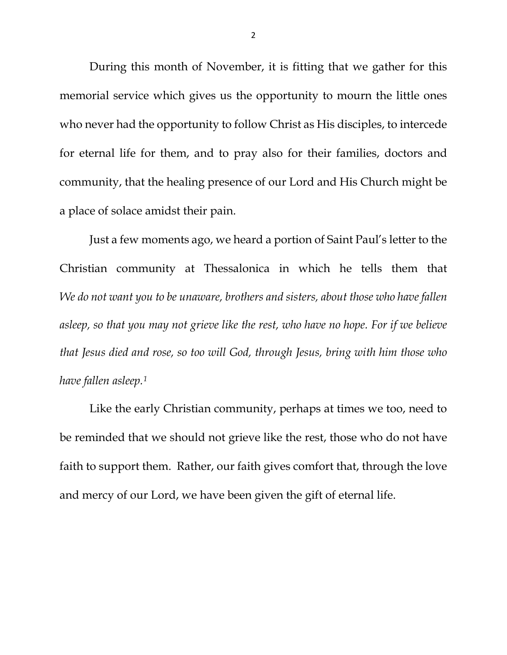During this month of November, it is fitting that we gather for this memorial service which gives us the opportunity to mourn the little ones who never had the opportunity to follow Christ as His disciples, to intercede for eternal life for them, and to pray also for their families, doctors and community, that the healing presence of our Lord and His Church might be a place of solace amidst their pain.

Just a few moments ago, we heard a portion of Saint Paul's letter to the Christian community at Thessalonica in which he tells them that *We do not want you to be unaware, brothers and sisters, about those who have fallen asleep, so that you may not grieve like the rest, who have no hope. For if we believe that Jesus died and rose, so too will God, through Jesus, bring with him those who have fallen asleep.[1](#page-1-0)*

<span id="page-1-0"></span>Like the early Christian community, perhaps at times we too, need to be reminded that we should not grieve like the rest, those who do not have faith to support them. Rather, our faith gives comfort that, through the love and mercy of our Lord, we have been given the gift of eternal life.